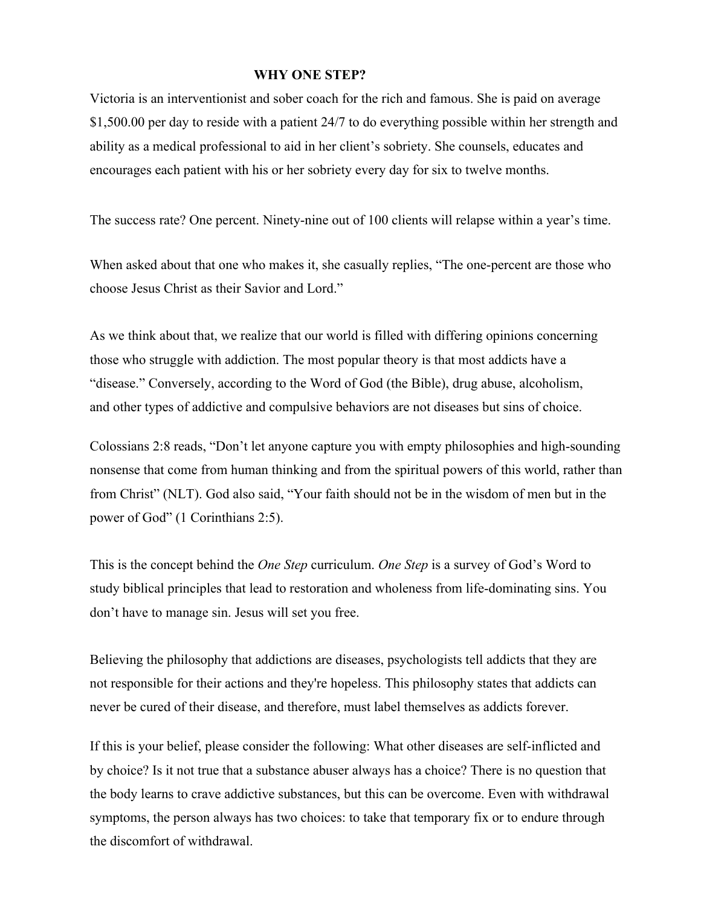## **WHY ONE STEP?**

Victoria is an interventionist and sober coach for the rich and famous. She is paid on average \$1,500.00 per day to reside with a patient 24/7 to do everything possible within her strength and ability as a medical professional to aid in her client's sobriety. She counsels, educates and encourages each patient with his or her sobriety every day for six to twelve months.

The success rate? One percent. Ninety-nine out of 100 clients will relapse within a year's time.

When asked about that one who makes it, she casually replies, "The one-percent are those who choose Jesus Christ as their Savior and Lord."

As we think about that, we realize that our world is filled with differing opinions concerning those who struggle with addiction. The most popular theory is that most addicts have a "disease." Conversely, according to the Word of God (the Bible), drug abuse, alcoholism, and other types of addictive and compulsive behaviors are not diseases but sins of choice.

Colossians 2:8 reads, "Don't let anyone capture you with empty philosophies and high-sounding nonsense that come from human thinking and from the spiritual powers of this world, rather than from Christ" (NLT). God also said, "Your faith should not be in the wisdom of men but in the power of God" (1 Corinthians 2:5).

This is the concept behind the *One Step* curriculum. *One Step* is a survey of God's Word to study biblical principles that lead to restoration and wholeness from life-dominating sins. You don't have to manage sin. Jesus will set you free.

Believing the philosophy that addictions are diseases, psychologists tell addicts that they are not responsible for their actions and they're hopeless. This philosophy states that addicts can never be cured of their disease, and therefore, must label themselves as addicts forever.

If this is your belief, please consider the following: What other diseases are self-inflicted and by choice? Is it not true that a substance abuser always has a choice? There is no question that the body learns to crave addictive substances, but this can be overcome. Even with withdrawal symptoms, the person always has two choices: to take that temporary fix or to endure through the discomfort of withdrawal.